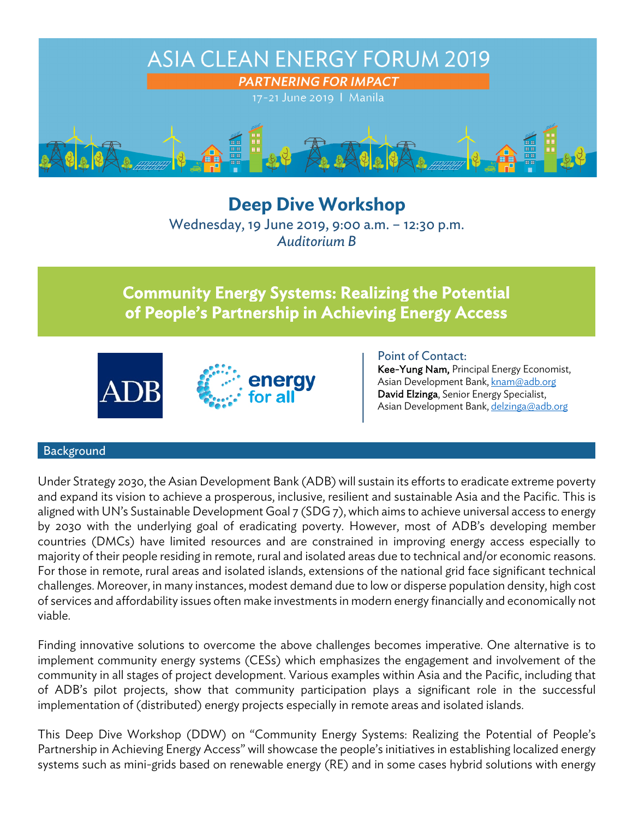

**Deep Dive Workshop**  Wednesday, 19 June 2019, 9:00 a.m. – 12:30 p.m. *Auditorium B*

# Community Energy Systems: Realizing the Potential of People's Partnership in Achieving Energy Access





Point of Contact:

Kee-Yung Nam, Principal Energy Economist, Asian Development Bank, knam@adb.org David Elzinga, Senior Energy Specialist, Asian Development Bank, delzinga@adb.org

#### Background

Under Strategy 2030, the Asian Development Bank (ADB) will sustain its efforts to eradicate extreme poverty and expand its vision to achieve a prosperous, inclusive, resilient and sustainable Asia and the Pacific. This is aligned with UN's Sustainable Development Goal 7 (SDG 7), which aims to achieve universal access to energy by 2030 with the underlying goal of eradicating poverty. However, most of ADB's developing member countries (DMCs) have limited resources and are constrained in improving energy access especially to majority of their people residing in remote, rural and isolated areas due to technical and/or economic reasons. For those in remote, rural areas and isolated islands, extensions of the national grid face significant technical challenges. Moreover, in many instances, modest demand due to low or disperse population density, high cost of services and affordability issues often make investments in modern energy financially and economically not viable.

Finding innovative solutions to overcome the above challenges becomes imperative. One alternative is to implement community energy systems (CESs) which emphasizes the engagement and involvement of the community in all stages of project development. Various examples within Asia and the Pacific, including that of ADB's pilot projects, show that community participation plays a significant role in the successful implementation of (distributed) energy projects especially in remote areas and isolated islands.

This Deep Dive Workshop (DDW) on "Community Energy Systems: Realizing the Potential of People's Partnership in Achieving Energy Access" will showcase the people's initiatives in establishing localized energy systems such as mini-grids based on renewable energy (RE) and in some cases hybrid solutions with energy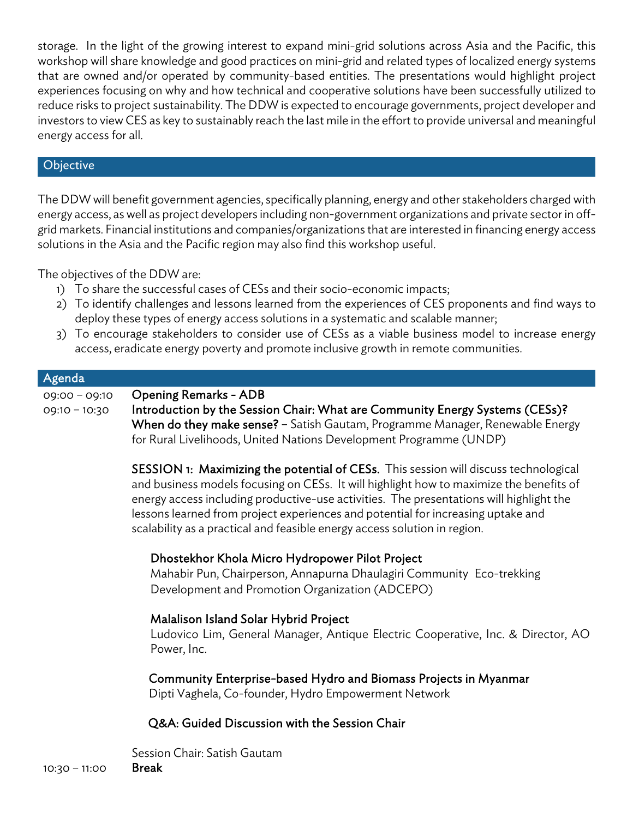storage. In the light of the growing interest to expand mini-grid solutions across Asia and the Pacific, this workshop will share knowledge and good practices on mini-grid and related types of localized energy systems that are owned and/or operated by community-based entities. The presentations would highlight project experiences focusing on why and how technical and cooperative solutions have been successfully utilized to reduce risks to project sustainability. The DDW is expected to encourage governments, project developer and investors to view CES as key to sustainably reach the last mile in the effort to provide universal and meaningful energy access for all.

#### **Objective**

The DDW will benefit government agencies, specifically planning, energy and other stakeholders charged with energy access, as well as project developers including non-government organizations and private sector in offgrid markets. Financial institutions and companies/organizations that are interested in financing energy access solutions in the Asia and the Pacific region may also find this workshop useful.

The objectives of the DDW are:

- 1) To share the successful cases of CESs and their socio-economic impacts;
- 2) To identify challenges and lessons learned from the experiences of CES proponents and find ways to deploy these types of energy access solutions in a systematic and scalable manner;
- 3) To encourage stakeholders to consider use of CESs as a viable business model to increase energy access, eradicate energy poverty and promote inclusive growth in remote communities.

# Agenda 09:00 – 09:10 Opening Remarks - ADB 09:10 - 10:30 Introduction by the Session Chair: What are Community Energy Systems (CESs)?

When do they make sense? – Satish Gautam, Programme Manager, Renewable Energy for Rural Livelihoods, United Nations Development Programme (UNDP)

SESSION 1: Maximizing the potential of CESs. This session will discuss technological and business models focusing on CESs. It will highlight how to maximize the benefits of energy access including productive-use activities. The presentations will highlight the lessons learned from project experiences and potential for increasing uptake and scalability as a practical and feasible energy access solution in region.

### Dhostekhor Khola Micro Hydropower Pilot Project

Mahabir Pun, Chairperson, Annapurna Dhaulagiri Community Eco-trekking Development and Promotion Organization (ADCEPO)

### Malalison Island Solar Hybrid Project

Ludovico Lim, General Manager, Antique Electric Cooperative, Inc. & Director, AO Power, Inc.

Community Enterprise-based Hydro and Biomass Projects in Myanmar

Dipti Vaghela, Co-founder, Hydro Empowerment Network

## Q&A: Guided Discussion with the Session Chair

Session Chair: Satish Gautam